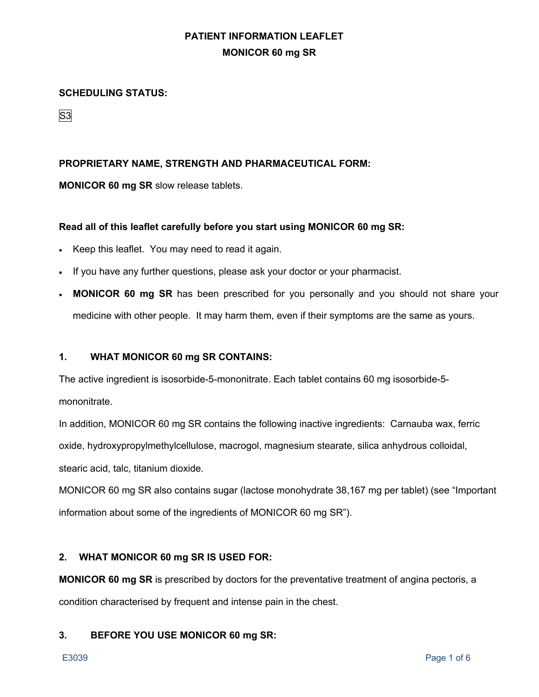### **SCHEDULING STATUS:**

S3

## **PROPRIETARY NAME, STRENGTH AND PHARMACEUTICAL FORM:**

**MONICOR 60 mg SR** slow release tablets.

## **Read all of this leaflet carefully before you start using MONICOR 60 mg SR:**

- Keep this leaflet. You may need to read it again.
- If you have any further questions, please ask your doctor or your pharmacist.
- **MONICOR 60 mg SR** has been prescribed for you personally and you should not share your medicine with other people. It may harm them, even if their symptoms are the same as yours.

## **1. WHAT MONICOR 60 mg SR CONTAINS:**

The active ingredient is isosorbide-5-mononitrate. Each tablet contains 60 mg isosorbide-5 mononitrate.

In addition, MONICOR 60 mg SR contains the following inactive ingredients: Carnauba wax, ferric oxide, hydroxypropylmethylcellulose, macrogol, magnesium stearate, silica anhydrous colloidal, stearic acid, talc, titanium dioxide.

MONICOR 60 mg SR also contains sugar (lactose monohydrate 38,167 mg per tablet) (see "Important information about some of the ingredients of MONICOR 60 mg SR").

## **2. WHAT MONICOR 60 mg SR IS USED FOR:**

**MONICOR 60 mg SR** is prescribed by doctors for the preventative treatment of angina pectoris, a condition characterised by frequent and intense pain in the chest.

## **3. BEFORE YOU USE MONICOR 60 mg SR:**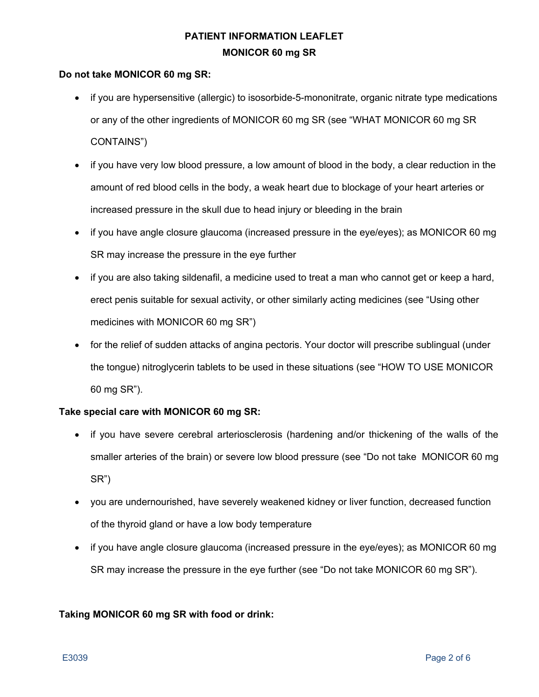## **Do not take MONICOR 60 mg SR:**

- if you are hypersensitive (allergic) to isosorbide-5-mononitrate, organic nitrate type medications or any of the other ingredients of MONICOR 60 mg SR (see "WHAT MONICOR 60 mg SR CONTAINS")
- if you have very low blood pressure, a low amount of blood in the body, a clear reduction in the amount of red blood cells in the body, a weak heart due to blockage of your heart arteries or increased pressure in the skull due to head injury or bleeding in the brain
- if you have angle closure glaucoma (increased pressure in the eye/eyes); as MONICOR 60 mg SR may increase the pressure in the eye further
- if you are also taking sildenafil, a medicine used to treat a man who cannot get or keep a hard, erect penis suitable for sexual activity, or other similarly acting medicines (see "Using other medicines with MONICOR 60 mg SR")
- for the relief of sudden attacks of angina pectoris. Your doctor will prescribe sublingual (under the tongue) nitroglycerin tablets to be used in these situations (see "HOW TO USE MONICOR 60 mg SR").

## **Take special care with MONICOR 60 mg SR:**

- if you have severe cerebral arteriosclerosis (hardening and/or thickening of the walls of the smaller arteries of the brain) or severe low blood pressure (see "Do not takeMONICOR 60 mg SR")
- you are undernourished, have severely weakened kidney or liver function, decreased function of the thyroid gland or have a low body temperature
- if you have angle closure glaucoma (increased pressure in the eye/eyes); as MONICOR 60 mg SR may increase the pressure in the eye further (see "Do not take MONICOR 60 mg SR").

## **Taking MONICOR 60 mg SR with food or drink:**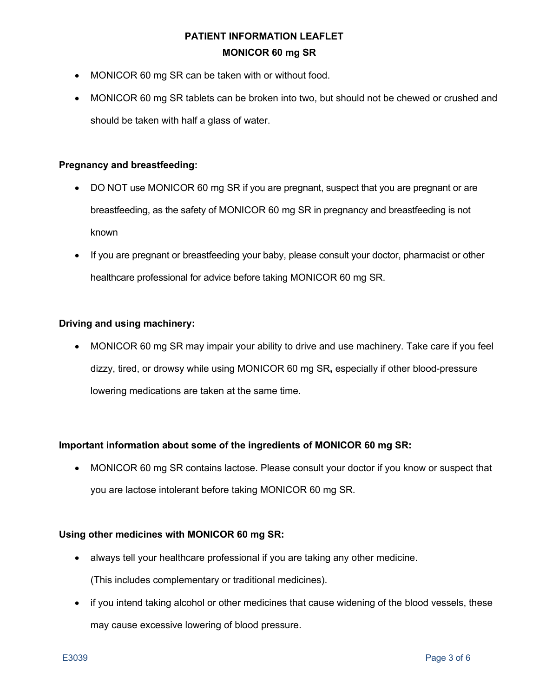- MONICOR 60 mg SR can be taken with or without food.
- MONICOR 60 mg SR tablets can be broken into two, but should not be chewed or crushed and should be taken with half a glass of water.

### **Pregnancy and breastfeeding:**

- DO NOT use MONICOR 60 mg SR if you are pregnant, suspect that you are pregnant or are breastfeeding, as the safety of MONICOR 60 mg SR in pregnancy and breastfeeding is not known
- If you are pregnant or breastfeeding your baby, please consult your doctor, pharmacist or other healthcare professional for advice before taking MONICOR 60 mg SR.

#### **Driving and using machinery:**

• MONICOR 60 mg SR may impair your ability to drive and use machinery. Take care if you feel dizzy, tired, or drowsy while using MONICOR 60 mg SR**,** especially if other blood-pressure lowering medications are taken at the same time.

## **Important information about some of the ingredients of MONICOR 60 mg SR:**

• MONICOR 60 mg SR contains lactose. Please consult your doctor if you know or suspect that you are lactose intolerant before taking MONICOR 60 mg SR.

#### **Using other medicines with MONICOR 60 mg SR:**

- always tell your healthcare professional if you are taking any other medicine. (This includes complementary or traditional medicines).
- if you intend taking alcohol or other medicines that cause widening of the blood vessels, these may cause excessive lowering of blood pressure.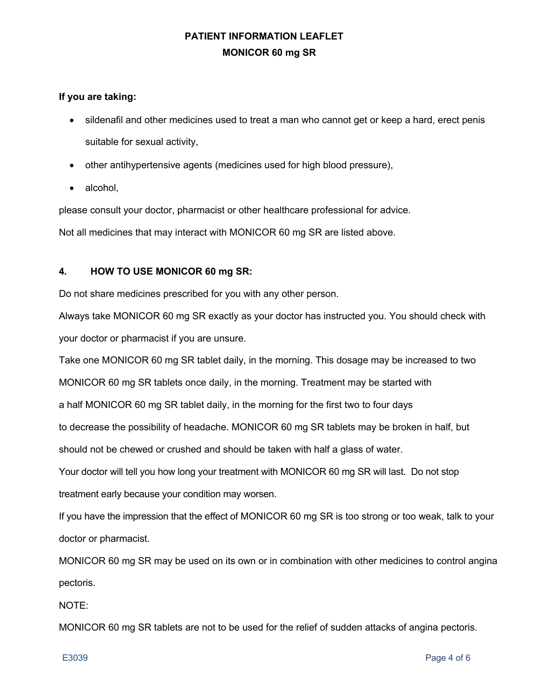## **If you are taking:**

- sildenafil and other medicines used to treat a man who cannot get or keep a hard, erect penis suitable for sexual activity,
- other antihypertensive agents (medicines used for high blood pressure),
- alcohol,

please consult your doctor, pharmacist or other healthcare professional for advice.

Not all medicines that may interact with MONICOR 60 mg SR are listed above.

## **4. HOW TO USE MONICOR 60 mg SR:**

Do not share medicines prescribed for you with any other person.

Always take MONICOR 60 mg SR exactly as your doctor has instructed you. You should check with your doctor or pharmacist if you are unsure.

Take one MONICOR 60 mg SR tablet daily, in the morning. This dosage may be increased to two

MONICOR 60 mg SR tablets once daily, in the morning. Treatment may be started with

a half MONICOR 60 mg SR tablet daily, in the morning for the first two to four days

to decrease the possibility of headache. MONICOR 60 mg SR tablets may be broken in half, but

should not be chewed or crushed and should be taken with half a glass of water.

Your doctor will tell you how long your treatment with MONICOR 60 mg SR will last. Do not stop treatment early because your condition may worsen.

If you have the impression that the effect of MONICOR 60 mg SR is too strong or too weak, talk to your doctor or pharmacist.

MONICOR 60 mg SR may be used on its own or in combination with other medicines to control angina pectoris.

NOTE:

MONICOR 60 mg SR tablets are not to be used for the relief of sudden attacks of angina pectoris.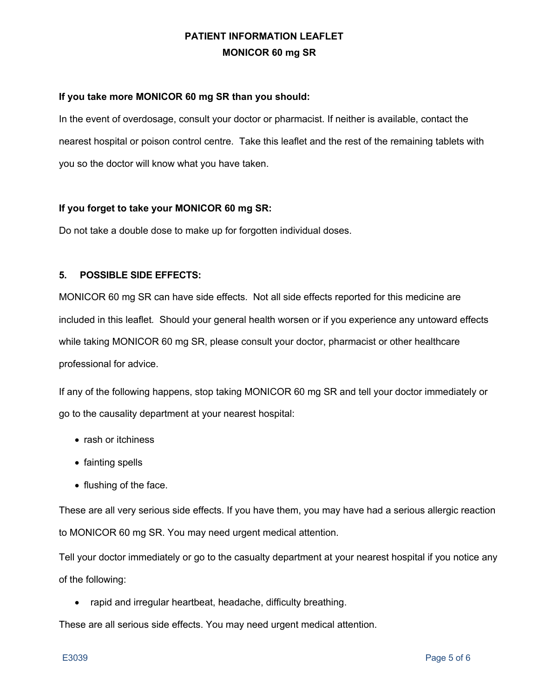## **If you take more MONICOR 60 mg SR than you should:**

In the event of overdosage, consult your doctor or pharmacist. If neither is available, contact the nearest hospital or poison control centre. Take this leaflet and the rest of the remaining tablets with you so the doctor will know what you have taken.

### **If you forget to take your MONICOR 60 mg SR:**

Do not take a double dose to make up for forgotten individual doses.

### **5. POSSIBLE SIDE EFFECTS:**

MONICOR 60 mg SR can have side effects. Not all side effects reported for this medicine are included in this leaflet*.* Should your general health worsen or if you experience any untoward effects while taking MONICOR 60 mg SR, please consult your doctor, pharmacist or other healthcare professional for advice.

If any of the following happens, stop taking MONICOR 60 mg SR and tell your doctor immediately or go to the causality department at your nearest hospital:

- rash or itchiness
- fainting spells
- flushing of the face.

These are all very serious side effects. If you have them, you may have had a serious allergic reaction to MONICOR 60 mg SR. You may need urgent medical attention.

Tell your doctor immediately or go to the casualty department at your nearest hospital if you notice any of the following:

• rapid and irregular heartbeat, headache, difficulty breathing.

These are all serious side effects. You may need urgent medical attention.